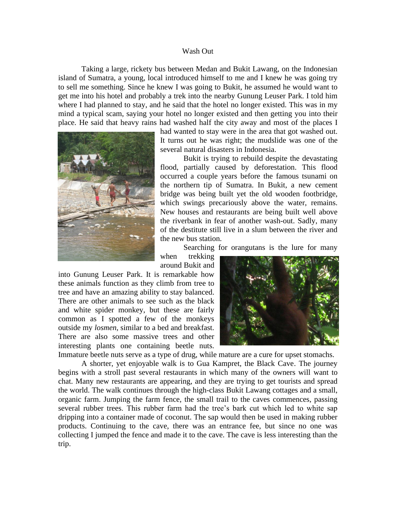## Wash Out

Taking a large, rickety bus between Medan and Bukit Lawang, on the Indonesian island of Sumatra, a young, local introduced himself to me and I knew he was going try to sell me something. Since he knew I was going to Bukit, he assumed he would want to get me into his hotel and probably a trek into the nearby Gunung Leuser Park. I told him where I had planned to stay, and he said that the hotel no longer existed. This was in my mind a typical scam, saying your hotel no longer existed and then getting you into their place. He said that heavy rains had washed half the city away and most of the places I



had wanted to stay were in the area that got washed out. It turns out he was right; the mudslide was one of the several natural disasters in Indonesia.

Bukit is trying to rebuild despite the devastating flood, partially caused by deforestation. This flood occurred a couple years before the famous tsunami on the northern tip of Sumatra. In Bukit, a new cement bridge was being built yet the old wooden footbridge, which swings precariously above the water, remains. New houses and restaurants are being built well above the riverbank in fear of another wash-out. Sadly, many of the destitute still live in a slum between the river and the new bus station.

Searching for orangutans is the lure for many

when trekking around Bukit and

into Gunung Leuser Park. It is remarkable how these animals function as they climb from tree to tree and have an amazing ability to stay balanced. There are other animals to see such as the black and white spider monkey, but these are fairly common as I spotted a few of the monkeys outside my *losmen*, similar to a bed and breakfast. There are also some massive trees and other interesting plants one containing beetle nuts.



Immature beetle nuts serve as a type of drug, while mature are a cure for upset stomachs.

A shorter, yet enjoyable walk is to Gua Kampret, the Black Cave. The journey begins with a stroll past several restaurants in which many of the owners will want to chat. Many new restaurants are appearing, and they are trying to get tourists and spread the world. The walk continues through the high-class Bukit Lawang cottages and a small, organic farm. Jumping the farm fence, the small trail to the caves commences, passing several rubber trees. This rubber farm had the tree's bark cut which led to white sap dripping into a container made of coconut. The sap would then be used in making rubber products. Continuing to the cave, there was an entrance fee, but since no one was collecting I jumped the fence and made it to the cave. The cave is less interesting than the trip.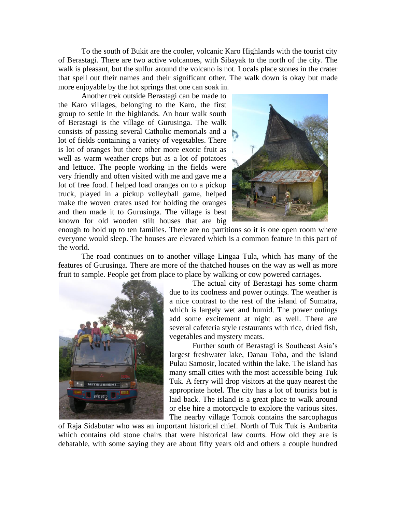To the south of Bukit are the cooler, volcanic Karo Highlands with the tourist city of Berastagi. There are two active volcanoes, with Sibayak to the north of the city. The walk is pleasant, but the sulfur around the volcano is not. Locals place stones in the crater that spell out their names and their significant other. The walk down is okay but made more enjoyable by the hot springs that one can soak in.

Another trek outside Berastagi can be made to the Karo villages, belonging to the Karo, the first group to settle in the highlands. An hour walk south of Berastagi is the village of Gurusinga. The walk consists of passing several Catholic memorials and a lot of fields containing a variety of vegetables. There is lot of oranges but there other more exotic fruit as well as warm weather crops but as a lot of potatoes and lettuce. The people working in the fields were very friendly and often visited with me and gave me a lot of free food. I helped load oranges on to a pickup truck, played in a pickup volleyball game, helped make the woven crates used for holding the oranges and then made it to Gurusinga. The village is best known for old wooden stilt houses that are big



enough to hold up to ten families. There are no partitions so it is one open room where everyone would sleep. The houses are elevated which is a common feature in this part of the world.

The road continues on to another village Lingaa Tula, which has many of the features of Gurusinga. There are more of the thatched houses on the way as well as more fruit to sample. People get from place to place by walking or cow powered carriages.



The actual city of Berastagi has some charm due to its coolness and power outings. The weather is a nice contrast to the rest of the island of Sumatra, which is largely wet and humid. The power outings add some excitement at night as well. There are several cafeteria style restaurants with rice, dried fish, vegetables and mystery meats.

Further south of Berastagi is Southeast Asia's largest freshwater lake, Danau Toba, and the island Pulau Samosir, located within the lake. The island has many small cities with the most accessible being Tuk Tuk. A ferry will drop visitors at the quay nearest the appropriate hotel. The city has a lot of tourists but is laid back. The island is a great place to walk around or else hire a motorcycle to explore the various sites. The nearby village Tomok contains the sarcophagus

of Raja Sidabutar who was an important historical chief. North of Tuk Tuk is Ambarita which contains old stone chairs that were historical law courts. How old they are is debatable, with some saying they are about fifty years old and others a couple hundred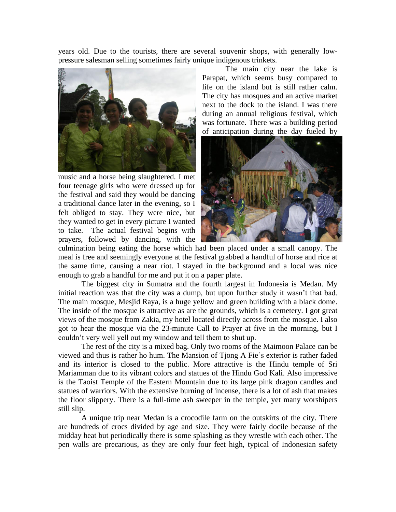years old. Due to the tourists, there are several souvenir shops, with generally lowpressure salesman selling sometimes fairly unique indigenous trinkets.



music and a horse being slaughtered. I met four teenage girls who were dressed up for the festival and said they would be dancing a traditional dance later in the evening, so I felt obliged to stay. They were nice, but they wanted to get in every picture I wanted to take. The actual festival begins with prayers, followed by dancing, with the

The main city near the lake is Parapat, which seems busy compared to life on the island but is still rather calm. The city has mosques and an active market next to the dock to the island. I was there during an annual religious festival, which was fortunate. There was a building period of anticipation during the day fueled by



culmination being eating the horse which had been placed under a small canopy. The meal is free and seemingly everyone at the festival grabbed a handful of horse and rice at the same time, causing a near riot. I stayed in the background and a local was nice enough to grab a handful for me and put it on a paper plate.

The biggest city in Sumatra and the fourth largest in Indonesia is Medan. My initial reaction was that the city was a dump, but upon further study it wasn't that bad. The main mosque, Mesjid Raya, is a huge yellow and green building with a black dome. The inside of the mosque is attractive as are the grounds, which is a cemetery. I got great views of the mosque from Zakia, my hotel located directly across from the mosque. I also got to hear the mosque via the 23-minute Call to Prayer at five in the morning, but I couldn't very well yell out my window and tell them to shut up.

The rest of the city is a mixed bag. Only two rooms of the Maimoon Palace can be viewed and thus is rather ho hum. The Mansion of Tjong A Fie's exterior is rather faded and its interior is closed to the public. More attractive is the Hindu temple of Sri Mariamman due to its vibrant colors and statues of the Hindu God Kali. Also impressive is the Taoist Temple of the Eastern Mountain due to its large pink dragon candles and statues of warriors. With the extensive burning of incense, there is a lot of ash that makes the floor slippery. There is a full-time ash sweeper in the temple, yet many worshipers still slip.

A unique trip near Medan is a crocodile farm on the outskirts of the city. There are hundreds of crocs divided by age and size. They were fairly docile because of the midday heat but periodically there is some splashing as they wrestle with each other. The pen walls are precarious, as they are only four feet high, typical of Indonesian safety